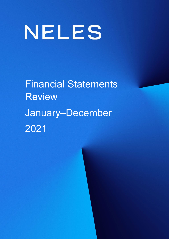# NELES

Financial Statements Review January–December 2021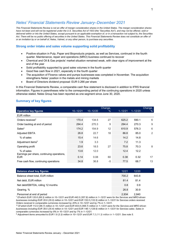# *Neles' Financial Statements Review January–December 2021*

*This Financial Statements Review is not an offer of merger consideration shares in the United States. The merger consideration shares have not been and will not be registered under the U.S. Securities Act of 1933 (the "Securities Act"), and may not be offered, sold or delivered within or into the United States, except pursuant to an applicable exemption of, or in a transaction not subject to, the Securities Act. There will be no public offering of securities in the United States. This Financial Statements Review does not constitute an offer of or an invitation by or on behalf of, Neles, Valmet, or any other person, to purchase any securities.*

# **Strong order intake and sales volume supporting solid profitability**

- Positive situation in Pulp, Paper and Bioproducts projects, as well as Services, continued in the fourth quarter. Maintenance, repair and operations (MRO) business continued to recover
- Chemical and Oil & Gas projects' market situation remained weak, with clear signs of improvement at the end of the year
- Solid profitability supported by good sales volumes in the fourth quarter
- Good free cash flow in 2021, especially in the fourth quarter
- The acquisition of Flowrox valves and pumps businesses was completed in November. The acquisition strengthens Neles' position in the metals and mining markets
- Board of Directors dividend proposal: EUR 0.266 per share

In this Financial Statements Review, a comparable cash flow statement is disclosed in addition to IFRS financial information. Figures in parentheses refer to the corresponding period of the continuing operations in 2020 unless otherwise stated. Neles Group has been reported as one segment since June 30, 2020.

# **Summary of key figures**

|                                                          |              |              | Change, |             |             | Change, |
|----------------------------------------------------------|--------------|--------------|---------|-------------|-------------|---------|
| <b>Operative key figures</b>                             | $10 - 12/21$ | $10 - 12/20$ | $\%$    | $1 - 12/21$ | $1 - 12/20$ | $\%$    |
| <b>EUR million</b>                                       |              |              |         |             |             |         |
| Orders received <sup>1</sup>                             | 170.4        | 134.5        | 27      | 625.2       | 590.1       | 6       |
| Order backlog at end of period                           | 294.4        | 270.3        | 9       | 294.4       | 270.3       | 9       |
| Sales <sup>2</sup>                                       | 174.2        | 154.9        | 12      | 610.9       | 576.3       | 6       |
| <b>Adjusted EBITA</b>                                    | 26.8         | 22.7         | 18      | 86.8        | 85.0        | 2       |
| % of sales                                               | 15.4         | 14.6         |         | 14.2        | 14.8        |         |
| Adjustment items <sup>3</sup>                            | 1.9          | 3.3          |         | 7.2         | 11.3        |         |
| Operating profit                                         | 23.6         | 18.5         | 27      | 75.8        | 70.3        | 8       |
| % of sales                                               | 13.6         | 12.0         |         | 12.4        | 12.2        |         |
| Earnings per share, continuing operations,<br><b>EUR</b> | 0.14         | 0.08         | 60      | 0.38        | 0.32        | 17      |
| Free cash flow, continuing operations                    | 34.8         | 36.8         | -5      | 77.5        | 68.7        | 13      |

| <b>Balance sheet key figures</b>   | 12/21 | 12/20 |  |
|------------------------------------|-------|-------|--|
| Balance sheet total, EUR million   | 700.2 | 643.8 |  |
| Net debt. EUR million              | 814   | 814   |  |
| Net debt/EBITDA, rolling 12 months | 0.8   | በ 9   |  |
| Gearing, %                         | 26.8  | 30.9  |  |
| Personnel at end of period         | 2.934 | 2.840 |  |

<sup>1</sup>*Of which EUR 120.6 (88.3) million in 10–12/21 and EUR 442.0 (357.8) million in 1–12/21 were for the Services and MRO-driven businesses including EUR 35.9 (35.0) million in 10–12/21 and EUR 153.5 (133.5) million in 1–12/21 for Services orders received. Orders received in comparable currencies increased by 20% in 10–12/21 and by 7% in 1–12/21.* 

**<sup>2</sup>** *Of which EUR 112.0 (96.7) million in 10–12/21 and EUR 403.8 (368.7) million in 1–12/21 were for the Services and MRO-driven businesses including EUR 38.5 (35.4) million in 10–12/21 and EUR 148.1 (128.6) million in 1–12/21 for Services sales. Sales in comparable currencies increased by 8% in 10–12/21 and by 7% in 1–12/21.* 

**<sup>3</sup>** *Adjustment items amounted to EUR 1.9 (3.3) million in 10–12/21 and EUR 7.2 (11.3) million in 1–12/21. See note 5.*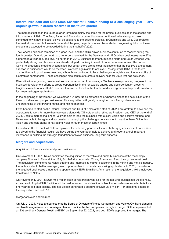# **Interim President and CEO Simo Sääskilahti**: **Positive ending to a challenging year – 20% organic growth in orders received in the fourth quarter**

The market situation in the fourth quarter remained mainly the same for the project business as in the second and third quarters of 2021. The Pulp, Paper and Bioproducts project business continued to be strong, and we continued to win new projects, as well as additions to the existing projects. In Chemicals and Oil & Gas projects, the market was slow, but towards the end of the year, projects in sales phase started progressing. Most of these projects are expected to be awarded during the first half of 2022.

The Services business remained at a good level, and the MRO-driven business continued to recover during the fourth quarter. Overall, our fourth quarter orders received for the Services and MRO-driven businesses were 37% higher than a year ago, and 16% higher than in 2019. Business momentum in the North and South America was particularly strong, and business has also developed positively in most of our other market areas. The current Covid-19 situation is creating uncertainties, but so far, there are no clear indications that the positive development direction in businesses would be reversed. We were again able to achieve 15% adjusted EBITA in the fourth quarter thanks to good sales volumes, although we continued to face challenges in logistics and the availability of electronics components. These challenges also continue to create delivery risks for 2022 first half deliveries.

Diversification to growing new industries is a cornerstone of our strategy. We have seen promising progress in our business development efforts to create opportunities in the renewable energy and decarbonization areas. A tangible example of our efforts' results is that we published in the fourth quarter an agreement to provide solutions for green hydrogen applications.

In the beginning of November, we welcomed 101 new Neles professionals when we closed the acquisition of the Flowrox valves and pumps businesses. This acquisition will greatly strengthen our offering, channels and understanding of the growing metals and mining markets.

I was honored to start as the interim President and CEO of Neles at the start of 2022. I am grateful to have had the opportunity to work for more than two years alongside Olli Isotalo, who retired as President and CEO at the end of 2021. Despite market challenges, Olli was able to lead the business with a clear vision and positive attitude, and Neles was able to be agile and successful in managing the challenging environment. I want to thank Olli for his vision and strategic clarity in navigating Neles through these uncertain times.

I would also like to thank all Neles employees for delivering good results in a challenging environment. In addition to delivering the financial results, we have during the year been able to achieve and report several important milestones in building the strategic foundation for Neles business' long-term success.

# **Mergers and acquisitions**

#### Acquisition of Flowrox valve and pump businesses

On November 1, 2021, Neles completed the acquisition of the valve and pump businesses of the technology company Flowrox in Finland, the USA, South-Africa, Australia, China, Russia and Peru, through an asset deal. The acquisition complements Neles' offering and improves its market positioning in the mining and metals industry. It enables Neles to better leverage growth opportunities in minerals processing applications. In 2020, the sales of the acquired businesses amounted to approximately EUR 30 million. As a result of the acquisition, 101 employees transferred to Neles.

On November 1, 2021, a EUR 40.3 million cash consideration was paid for the acquired businesses. Additionally, an earn-out of up to EUR 3 million will be paid as a cash consideration, subject to set orders received criteria for a one-year period after closing. The acquisition generated a goodwill of EUR 25.1 million. For additional details of the acquisition, see note 10.

#### Merger of Neles and Valmet

On July 2, 2021, Neles announced that the Board of Directors of Neles Corporation and Valmet Oyj have signed a combination agreement and a merger plan to combine the two companies through a merger. Both companies held an Extraordinary General Meeting (EGM) on September 22, 2021, and both EGMs approved the merger. The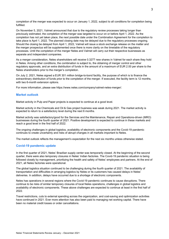completion of the merger was expected to occur on January 1, 2022, subject to all conditions for completion being fulfilled.

On November 5, 2021, Valmet announced that due to the regulatory review processes taking longer than previously estimated, the completion of the merger was targeted to occur on or before April 1, 2022. As the completion has not yet taken place, the next possible date under the Combination Agreement for the completion to take place is April 1, 2022. The planned closing date may be delayed due to the regulatory processes ongoing. Should the closing be delayed from April 1, 2022, Valmet will issue a stock exchange release on the matter and the merger prospectus will be supplemented once there is more clarity on the timetable of the regulatory processes. Until the completion of the merger Neles and Valmet will carry out their respective businesses as separate and independent companies.

As a merger consideration, Neles shareholders will receive 0.3277 new shares in Valmet for each share they hold in Neles. Among other conditions, the combination is subject to, the obtaining of merger control and other regulatory approvals, and an extra distribution of funds in the amount of a maximum of EUR 2.00 per share to the Neles shareholders prior to the merger's completion.

On July 2, 2021, Neles signed a EUR 301 million bridge-to-bond facility, the purpose of which is to finance the extraordinary distribution of funds prior to the completion of the merger. If executed, the facility term is 12 months, with two 6-month extension options.

For more information, please see https://www.neles.com/company/valmet-neles-merger/.

# **Market outlook**

Market activity in Pulp and Paper projects is expected to continue at a good level.

Market activity in the Chemicals and Oil & Gas project business was weak during 2021. The market activity is expected to return to a satisfactory level during the next 6 months.

Market activity was satisfactory/good for the Services and the Maintenance, Repair and Operations-driven (MRO) businesses during the fourth quarter of 2021. Positive development is expected to continue in these markets and reach a good level in the first half of 2022.

The ongoing challenges in global logistics, availability of electronic components and the Covid-19 pandemic continues to create uncertainty and risks of abrupt changes in all markets important to Neles.

The market outlook reflects the management's expectation for the next six months unless otherwise stated.

# **Covid-19 pandemic update**

In the first quarter of 2021, Neles' Brazilian supply center was temporarily closed. At the beginning of the second quarter, there were also temporary closures in Neles' Indian factories. The Covid-19 pandemic situation is being followed closely by management, prioritizing the health and safety of Neles' employees and partners. At the end of 2021, all Neles factories were operational.

The global logistics situation continued to be challenging during the fourth quarter of 2021. The availability of transportation and difficulties in arranging logistics by Neles or its customers has caused delays in Neles' deliveries. In addition, delays have occurred due to a shortage of electronic components.

Neles has operations in several regions where the Covid-19 pandemic continues to cause disruptions. There continue to be risks of similar temporary closures of local Neles operations, challenges in global logistics and availability of electronic components. These above challenges are expected to continue at least in the first half of 2022.

Travel restrictions, cuts to external spending across the organization, and cost-saving and optimization activities have continued in 2021. Ever more attention has also been paid to managing net working capital. There have been no material credit losses or order cancellations.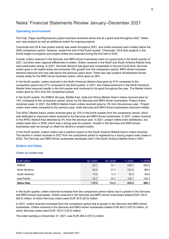# Neles' Financial Statements Review January–December 2021

# **Operating environment**

The Pulp, Paper and Bioproducts project business remained active and at a good level throughout 2021. Neles won new projects as well as additional orders for ongoing projects.

Chemicals and Oil & Gas project activity was weak throughout 2021, and orders received were notably below the 2020 comparison period. However, toward the end of the fourth quarter, Chemicals, Oil & Gas projects in the funnel began to progress and project orders are expected during the first half of 2022.

Overall, orders received in the Services and MRO-driven businesses were at a good level in the fourth quarter of 2021, but there were regional differences in orders. Orders received in the North and South America Market Area were particularly strong. In 2021, Services demand was good and comparable to the pre-Covid level. Services orders grew in all market areas and achieved 15% growth from the comparison period. MRO-driven business demand improved and was well above the previous year's level. There was also positive development across market areas for the MRO-driven business orders, which grew by 29%.

In the fourth quarter, orders received in the North American Market Area grew by 61% compared to the comparison period and 27% compared to the third quarter. In 2021, the market sentiment in the North American Market Area improved rapidly in the first quarter and continued to be good throughout the year. The Market Area's orders grew by 32% from the comparison period.

In the fourth quarter, the EMEIA (Europe, Middle East, India and Africa) Market Area's orders received grew by 14% compared to the comparison period, driven by the Services and MRO-driven businesses. Project orders remained weak. In 2021, the EMEIA Market Area's orders received grew by 3% from the previous year. Project orders were weak compared to the previous year, while Services and MRO-driven businesses improved notably.

The APAC Market Area's orders received grew by 12% in the fourth quarter from the comparison period, which was attributed to improved orders received in the Services and MRO-driven businesses. In 2021, orders received in the APAC Market Area declined by 5% from the previous year. In 2021, project orders were satisfactory, but clearly lower than in 2020, which was a strong year for projects. Growth in the Services and MRO-driven businesses was not enough to offset the decline in project orders.

In the fourth quarter, project orders had a positive impact on the South America Market Area's orders received. The decline in orders received in 2021 from the comparison period is explained by a strong project order intake in 2020. The Services and MRO-driven businesses developed well in the South America Market Area in 2021.

# **Orders and Sales**

#### *Orders by market area*

| <b>EUR million</b> | $10 - 12/21$ | $10 - 12/20$ | $1 - 12/21$ | $1 - 12/20$ |
|--------------------|--------------|--------------|-------------|-------------|
| <b>FMFIA</b>       |              | 55.1         | 230 7       | 224.9       |
| North America      | 60 4         | 37.5         | 222 A       | 168.5       |
| South America      | 14.6         | 12 R         | 464         | 64.6        |
| Asia Pacific       | 32.7         | 29.2         | 125.7       | 132.2       |
| <b>Neles total</b> | 170.4        | 134.5        | 625.2       | 590.1       |

In the fourth quarter, orders received increased from the comparison period mainly due to growth in the Services and MRO-driven businesses. Orders received in the Services and MRO-driven businesses totaled EUR 120.6 (88.3) million, of which Services orders were EUR 35.9 (35.0) million.

In 2021, orders received increased from the comparison period due to growth in the Services and MRO-driven businesses. Orders received in the Services and MRO-driven businesses totaled EUR 442.0 (357.8) million, of which Services orders were EUR 153.5 (133.5) million.

The order backlog on December 31, 2021, was EUR 294.4 (270.3) million.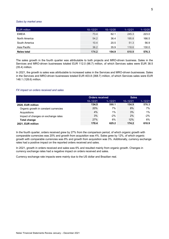#### *Sales by market area*

| <b>EUR million</b> | $10 - 12/21$ | $10 - 12/20$ | $1 - 12/21$ | $1 - 12/20$ |
|--------------------|--------------|--------------|-------------|-------------|
| <b>FMFIA</b>       | 73.4         | 62 1         | 245.3       | 223.0       |
| North America      | 54.2         | 36.4         | 195.8       | 166.5       |
| South America      | 10.4         | 20.5         | 51.3        | 56.9        |
| Asia Pacific       | 36.2         | 35.9         | 118.6       | 130.0       |
| <b>Neles total</b> | 174.2        | 154.9        | 610.9       | 576.3       |

The sales growth in the fourth quarter was attributable to both projects and MRO-driven business. Sales in the Services and MRO-driven businesses totaled EUR 112.0 (96.7) million, of which Services sales were EUR 38.5 (35.4) million.

In 2021, the growth is sales was attributable to increased sales in the Services and MRO-driven businesses. Sales in the Services and MRO-driven businesses totaled EUR 403.8 (368.7) million, of which Services sales were EUR 148.1 (128.6) million.

#### *FX impact on orders received and sales*

|                                       | <b>Orders received</b> |             | Sales        |             |
|---------------------------------------|------------------------|-------------|--------------|-------------|
|                                       | $10 - 12/21$           | $1 - 12/21$ | $10 - 12/21$ | $1 - 12/21$ |
| 2020, EUR million                     | 134.5                  | 590.1       | 154.9        |             |
| Organic growth in constant currencies | 20%                    | 7%          |              | 7%          |
| Acquisitions                          | 4%                     | 1%          | 3%           |             |
| Impact of changes on exchange rates   | 3%                     | $-2%$       | 2%           |             |
| <b>Total change</b>                   | 27%                    | 6%          | 2%           |             |
| 2021, EUR million                     | 170 4                  | Gクミ ク       | 174.2        |             |

In the fourth quarter, orders received grew by 27% from the comparison period, of which organic growth with comparable currencies was 20% and growth from acquisition was 4%. Sales grew by 12%, of which organic growth with comparable currencies was 8% and growth from acquisition was 3%. Additionally, currency exchange rates had a positive impact on the reported orders received and sales.

In 2021, growth in orders received and sales was 6% and resulted mainly from organic growth. Changes in currency exchange rates had a negative impact on orders received and sales.

Currency exchange rate impacts were mainly due to the US dollar and Brazilian real.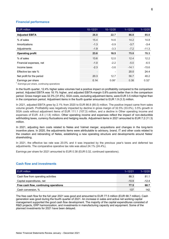# **Financial performance**

| <b>EUR million</b>        | $10 - 12/21$ | $10 - 12/20$      | $1 - 12/21$ | $1 - 12/20$       |
|---------------------------|--------------|-------------------|-------------|-------------------|
| <b>Adjusted EBITA</b>     | 26.8         | 22.7              | 86.8        | 85.0              |
| % of sales                | 15.4         | 14.6              | 14.2        | 14.8              |
| Amortizations             | $-1.3$       | $-0.9$            | $-3.7$      | $-3.4$            |
| Adjustments               | $-1.9$       | $-3.3$            | $-7.2$      | $-11.3$           |
| <b>Operating profit</b>   | 23.6         | 18.5              | 75.8        | 70.3              |
| % of sales                | 13.6         | 12.0              | 12.4        | 12.2              |
| Financial expenses, net   | $-1.0$       | $-2.2$            | $-5.0$      | $-6.5$            |
| Income taxes              | $-2.3$       | $-3.6$            | $-14.1$     | $-15.6$           |
| Effective tax rate %      |              |                   | 20.0        | 24.4              |
| Net profit for the period | 20.3         | 12.7              | 56.7        | 48.2              |
| Earnings per share        | 0.14         | 0.08 <sup>1</sup> | 0.38        | 0.32 <sup>1</sup> |

<sup>1</sup> *Earnings per share, continuing operations*

In the fourth quarter, 12.4% higher sales volumes had a positive impact on profitability compared to the comparison period. Adjusted EBITA was 18.1% higher, and adjusted EBITA-margin 0.8%-points better than in the comparison period. Gross margin was 32.3% (31.6%). SGA costs, excluding adjustment items, were EUR 3.5 million higher than in the comparison period. Adjustment items in the fourth quarter amounted to EUR 1.9 (3.3) million.

In 2021, adjusted EBITA grew by 2.1% from 2020 to EUR 86.8 (85.0) million. The positive impact came from sales volume growth. Profitability was negatively impacted by decline in gross margin of 32.5% (33.0%), 3.5% growth in SGA costs without adjustment items of EUR 111.1 (107.3) million, and a decline in Other operating income and expenses of EUR -4.6 (-1.8) million. Other operating income and expenses reflect the impact of non-deductible withholding taxes, currency fluctuations and hedging results. Adjustment items in 2021 amounted to EUR 7.2 (11.3) million.

In 2021, adjusting item costs related to Neles and Valmet merger, acquisitions and changes in the long-term incentive plans. In 2020, the adjustments items were attributable to advisory, brand, IT and other costs related to the creation and rebranding of Neles, establishing a new operating structure and developments around Neles' shareholding.

In 2021, the effective tax rate was 20.0% and it was impacted by the previous year's taxes and deferred tax adjustments. The comparative operative tax rate was about 24.1% (24.4%).

Earnings per share for 2021 amounted to EUR 0.38 (EUR 0.32, continued operations).

# **Cash flow and investments**

| <b>EUR million</b>                    | $1 - 12/21$ | $1 - 12/20$ |
|---------------------------------------|-------------|-------------|
| Cash flow from operating activities   | 88.3        | 81.1        |
| Capital expenditures, net             | $-10.9$     | -12.4       |
| Free cash flow, continuing operations | 77.5        | 68.7        |
| Cash conversion, %                    | 137         | 142         |

The free cash flow for the full year 2021 was good and amounted to EUR 77.5 million (EUR 68.7 million). Cash generation was good during the fourth quarter of 2021. An increase in sales and active net working capital management supported the good cash flow development. The majority of the capital expenditures consisted of R&D projects, ERP harmonization, and investments in manufacturing capacity and equipment. Some of the planned investments for 2021 have been delayed.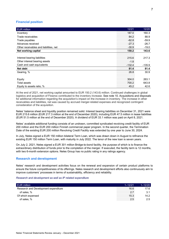# **Financial position**

| <b>EUR million</b>                     | 12/21    | 12/20    |
|----------------------------------------|----------|----------|
| Inventory                              | 187.0    | 160.3    |
| Trade receivables                      | 84.2     | 88.9     |
| Trade payables                         | $-62.8$  | $-59.9$  |
| Advances received                      | $-27.3$  | $-26.7$  |
| Other receivables and liabilities, net | $-30.9$  | $-19.0$  |
| Net working capital                    | 150.2    | 143.6    |
|                                        |          |          |
| Interest bearing liabilities           | 215.6    | 217.3    |
| Other interest bearing assets          | $-1.8$   |          |
| Cash and cash equivalents              | $-132.4$ | $-135.9$ |
| Net debt                               | 81.4     | 81.4     |
| Gearing, %                             | 26.8     | 30.9     |
|                                        |          |          |
| Equity                                 | 304.0    | 263.1    |
| Total assets                           | 700.2    | 643.8    |
| Equity to assets ratio, %              | 45.2     | 42.6     |

At the end of 2021, net working capital amounted to EUR 150.2 (143.6) million. Continued challenges in global logistics and acquisition of Flowrox contributed to the inventory increase. See note 10. Acquisitions and disposals for additional information regarding the acquisition's impact on the increase in inventory. The increase in other receivables and liabilities, net was caused by accrued merger-related expenses and recognized contingent consideration of the acquisition.

Neles' balance sheet and liquidity position remained solid. Interest bearing liabilities on December 31, 2021 were EUR 215.6 million (EUR 217.3 million at the end of December 2020), including EUR 47.5 million in lease liabilities (EUR 51.5 million at the end of December 2020). A dividend of EUR 33.1 million was paid on April 8, 2021.

Neles' available additional funding consists of an undrawn, committed syndicated revolving credit facility of EUR 200 million and the EUR 200 million Finnish commercial paper program. In the second quarter, the Termination Date of the existing EUR 200 million Revolving Credit Facility was extended by one year to June 30, 2024.

In July, Neles signed a EUR 150 million bilateral Term Loan, which was drawn down in August to refinance the existing EUR 150 million Term Loan, with maturity in July 2022. The tenor of the new loan is seven years.

On July 2, 2021, Neles signed a EUR 301 million Bridge-to-bond facility, the purpose of which is to finance the extraordinary distribution of funds prior to the completion of the merger. If executed, the facility term is 12 months, with two 6-month extension options. Neles Group has no public rating in any ratings agency.

# **Research and development**

Neles' research and development activities focus on the renewal and expansion of certain product platforms to ensure the future competitiveness of its offerings. Neles research and development efforts also continuously aim to improve customers' processes in terms of sustainability, efficiency and reliability.

#### *Research and development as well as IP related expenditure*

| Research and Development expenditure | 16 F    |  |
|--------------------------------------|---------|--|
| of sales. %                          |         |  |
| $\alpha$ which expensed              | l. 5. P |  |
| sales.%                              |         |  |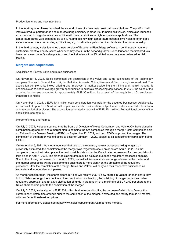#### Product launches and new inventions

In the fourth quarter, Neles launched the second phase of a new metal seat ball valve platform. The platform will improve product performance and manufacturing efficiency in class 600 trunnion ball valves. Neles also launched an expansion to its globe valve product line with new capabilities in high temperature applications. The temperature range was expanded up to 540 ℃ and this new high temperature option allows Neles to offer globe valves for even more demanding applications, e.g. in refineries, petrochemical plants and the power industry.

In the third quarter, Neles launched a new version of Expertune PlantTriage software. It continuously monitors customers' plant to identify issues whenever they occur. In the second quarter, Neles launched the first products based on a new butterfly valve platform and the first valve with a 3D printed valve body was delivered for field testing.

### **Mergers and acquisitions**

#### Acquisition of Flowrox valve and pump businesses

On November 1, 2021, Neles completed the acquisition of the valve and pump businesses of the technology company Flowrox in Finland, the USA, South-Africa, Australia, China, Russia and Peru, through an asset deal. The acquisition complements Neles' offering and improves its market positioning the mining and metals industry. It enables Neles to better leverage growth opportunities in minerals processing applications. In 2020, the sales of the acquired businesses amounted to approximately EUR 30 million. As a result of the acquisition, 101 employees transferred to Neles.

On November 1, 2021, a EUR 40.3 million cash consideration was paid for the acquired businesses. Additionally, an earn-out of up to EUR 3 million will be paid as a cash consideration, subject to set orders received criteria for a one-year period after closing. The acquisition generated a goodwill of EUR 25.1 million. For additional details of the acquisition, see note 10.

#### Merger of Neles and Valmet

On July 2, 2021, Neles announced that the Board of Directors of Neles Corporation and Valmet Oyj have signed a combination agreement and a merger plan to combine the two companies through a merger. Both companies held an Extraordinary General Meeting (EGM) on September 22, 2021, and both EGMs approved the merger. The completion of the merger was expected to occur on January 1, 2022, subject to all conditions for completion being fulfilled.

On November 5, 2021, Valmet announced that due to the regulatory review processes taking longer than previously estimated, the completion of the merger was targeted to occur on or before April 1, 2022. As the completion has not yet taken place, the next possible date under the Combination Agreement for the completion to take place is April 1, 2022. The planned closing date may be delayed due to the regulatory processes ongoing. Should the closing be delayed from April 1, 2022, Valmet will issue a stock exchange release on the matter and the merger prospectus will be supplemented once there is more clarity on the timetable of the regulatory processes. Until the completion of the merger Neles and Valmet will carry out their respective businesses as separate and independent companies.

As merger consideration, the shareholders in Neles will receive 0.3277 new shares in Valmet for each share they hold in Neles. Among other conditions, the combination is subject to, the obtaining of merger control and other regulatory approvals, and an extra distribution of funds in the amount of a maximum of EUR 2.00 per share to the Neles shareholders prior to the completion of the merger.

On July 2, 2021, Neles signed a EUR 301 million bridge-to-bond facility, the purpose of which is to finance the extraordinary distribution of funds prior to the completion of the merger. If executed, the facility term is 12 months, with two 6-month extension options.

For more information, please see https://www.neles.com/company/valmet-neles-merger/.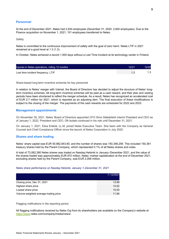# **Personnel**

At the end of December 2021, Neles had 2,934 employees (December 31, 2020: 2,840 employees). Due to the Flowrox acquisition on November 1, 2021, 101 employees transferred to Neles.

**Safety** 

Neles is committed to the continuous improvement of safety with the goal of zero harm. Neles LTIF in 2021 remained at a good level at 1.3 (1.3).

In October, Neles achieved a record 1,000 days without a Lost Time Incident at its technology center in Finland.

| Injuries in Neles operations, rolling 12 months | 12/21 |  |
|-------------------------------------------------|-------|--|
| Lost time incident frequency, LTIF              |       |  |

Share-based long-term incentive schemes for key personnel

In relation to Neles' merger with Valmet, the Board of Directors has decided to adjust the structure of Neles' longterm incentive schemes. All long-term incentive schemes will be paid as a cash reward, and their plan and vesting periods have been shortened to reflect the merger schedule. As a result, Neles has recognized an accelerated cost of EUR 2.7 million for 2021, which is reported as an adjusting item. The final execution of these modifications is subject to the closing of the merger. The payments of the cash rewards are scheduled for 2022 and 2023.

# **Management appointments**

On November 30, 2021, Neles' Board of Directors appointed CFO Simo Sääskilahti interim President and CEO as of January 1, 2022. President and CEO, Olli Isotalo continued in his role until December 31, 2021.

On January 1, 2021, Elisa Erkkilä, LL.M, joined Neles Executive Team. She been with the Company as General Counsel and Chief Compliance Officer since the launch of Neles Corporation in July 2020.

# **Shares and share trading**

Neles' share capital was EUR 50,982,843.80, and the number of shares was 150,348,256. This included 150,361 treasury shares held by the Parent Company, which represented 0.1% of all Neles shares and votes.

A total of 73,082,380 Neles shares was traded on Nasdaq Helsinki in January–December 2021, and the value of the shares traded was approximately EUR 872 million. Neles' market capitalization at the end of December 2021, excluding shares held by the Parent Company, was EUR 2,056 million.

#### *Neles share performance on Nasdaq Helsinki, January 1–December 31, 2021*

|                                       | 1–12/2021 |
|---------------------------------------|-----------|
| Closing price, Dec 31, 2021           |           |
| Highest share price                   |           |
| Lowest share price                    |           |
| Volume-weighted average trading price |           |

Flagging notifications in the reporting period

All flagging notifications received by Neles Oyj from its shareholders are available on the Company's website at [https://www.](https://www/)neles.com/company/media/news/.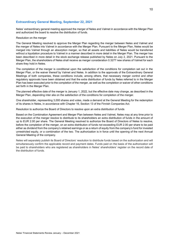# **Extraordinary General Meeting, September 22, 2021**

Neles' extraordinary general meeting approved the merger of Neles and Valmet in accordance with the Merger Plan and authorized the board to resolve the distribution of funds.

#### Resolution on the merger

The General Meeting resolved to approve the Merger Plan regarding the merger between Neles and Valmet and the merger of Neles into Valmet in accordance with the Merger Plan. Pursuant to the Merger Plan, Neles would be merged into Valmet through an absorption merger, so that all assets and liabilities of Neles would be transferred without a liquidation procedure to Valmet in a manner described in more detail in the Merger Plan. The merger has been described in more detail in the stock exchange release published by Neles on July 2, 2021. Pursuant to the Merger Plan, the shareholders of Neles shall receive as merger consideration 0.3277 new shares of Valmet for each share they hold in Neles.

The completion of the merger is conditional upon the satisfaction of the conditions for completion set out in the Merger Plan, or the waiver thereof by Valmet and Neles. In addition to the approvals of the Extraordinary General Meetings of both companies, these conditions include, among others, that necessary merger control and other regulatory approvals have been obtained and that the extra distribution of funds by Neles referred to in the Merger Plan has been executed prior to the completion of the merger, as well as the completion or waiver of other conditions set forth in the Merger Plan.

The planned effective date of the merger is January 1, 2022, but the effective date may change, as described in the Merger Plan, depending inter alia on the satisfaction of the conditions for completion of the merger.

One shareholder, representing 3,000 shares and votes, made a demand at the General Meeting for the redemption of its shares in Neles, in accordance with Chapter 16, Section 13 of the Finnish Companies Act.

Resolution to authorize the Board of Directors to resolve upon an extra distribution of funds

Based on the Combination Agreement and Merger Plan between Neles and Valmet, Neles may at any time prior to the execution of the merger resolve to distribute to its shareholders an extra distribution of funds in the amount of up to EUR 2.00 per share. The General Meeting resolved to authorize the Board of Directors of Neles to resolve, before the completion of the merger, on an extra distribution of funds not exceeding EUR 2.00 per share to be paid either as dividend from the company's retained earnings or as a return of equity from the company's fund for invested unrestricted equity, or a combination of the two. The authorization is in force until the opening of the next Annual General Meeting of the company.

Neles will separately publish its Board of Directors' resolution to distribute funds based on the authorization and will simultaneously confirm the applicable record and payment dates. Funds paid on the basis of the authorization will be paid to shareholders who are registered as shareholders in Neles' shareholders' register on the record date of the distribution of funds.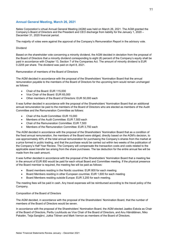# **Annual General Meeting, March 26, 2021**

Neles Corporation's virtual Annual General Meeting (AGM) was held on March 26, 2021. The AGM granted the Company's Board of Directors and the President and CEO discharge from liability for the January 1, 2020 – December 31, 2020 financial period.

The majority of votes were against the approval of the Company's Remuneration Report in the advisory vote.

#### Dividend

Based on the shareholder vote concerning a minority dividend, the AGM decided in deviation from the proposal of the Board of Directors that a minority dividend corresponding to eight (8) percent of the Company's equity shall be paid in accordance with Chapter 13, Section 7 of the Companies Act. The amount of minority dividend is EUR 0.2205 per share. The dividend was paid on April 8, 2021.

Remuneration of members of the Board of Directors

The AGM decided in accordance with the proposal of the Shareholders' Nomination Board that the annual remuneration payable to the members of the Board of Directors for the upcoming term would remain unchanged as follows:

- Chair of the Board: EUR 115,000
- Vice Chair of the Board: EUR 65,000
- Other members of the Board of Directors: EUR 50,000 each

It was further decided in accordance with the proposal of the Shareholders' Nomination Board that an additional annual remuneration be paid to the members of the Board of Directors who are elected as members of the Audit Committee and the Remuneration Committee as follows:

- Chair of the Audit Committee: EUR 15,000
- Members of the Audit Committee: EUR 7,500 each
- Chair of the Remuneration Committee: EUR 7,500
- Members of the Remuneration Committee: EUR 3,750 each

The AGM decided in accordance with the proposal of the Shareholders' Nomination Board that as a condition of the fixed annual remuneration, the members of the Board were obliged, directly based on the AGM's decision, to use approximately 40% of the total annual remuneration for purchasing the Company's shares from the market at a price formed in public trading, and that the purchase would be carried out within two weeks of the publication of the Company's Half Year Review. The Company will compensate the transaction costs and costs related to the applicable asset transfer tax arising from the share purchases. The tax deduction for the entire annual fee will be made from the cash amount.

It was further decided in accordance with the proposal of the Shareholders' Nomination Board that a meeting fee in the amount of EUR 800 would be paid for each virtual Board and Committee meeting. If the physical presence of the Board member is required, the meeting fee will be paid as follows:

- Board members residing in the Nordic countries: EUR 800 for each meeting
- Board Members residing in other European countries: EUR 1,600 for each meeting
- Board Members residing outside Europe: EUR 3,200 for each meeting.

The meeting fees will be paid in cash. Any travel expenses will be reimbursed according to the travel policy of the Company.

#### Composition of the Board of Directors

The AGM decided, in accordance with the proposal of the Shareholders' Nomination Board, that the number of members of the Board of Directors would be seven.

In accordance with the proposal of the Shareholders' Nomination Board, the AGM elected Jaakko Eskola as Chair of the Board of Directors, Perttu Louhiluoto as Vice Chair of the Board of Directors, and Anu Hämäläinen, Niko Pakalén, Teija Sarajärvi, Jukka Tiitinen and Mark Vernon as members of the Board of Directors.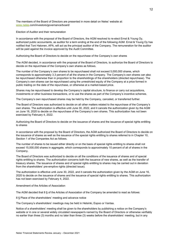The members of the Board of Directors are presented in more detail on Neles' website at: [www.neles.](http://www.neles/)com/investors/governance/board/

Election of Auditor and their remuneration

In accordance with the proposal of the Board of Directors, the AGM resolved to re-elect Ernst & Young Oy, authorized public accountants, as auditor for a term ending at the end of the following AGM. Ernst & Young Oy has notified that Toni Halonen, APA, will act as the principal auditor of the Company. The remuneration for the auditor will be paid against the invoice approved by the Audit Committee.

Authorizing the Board of Directors to decide on the repurchase of the Company's own shares

The AGM decided, in accordance with the proposal of the Board of Directors, to authorize the Board of Directors to decide on the repurchase of the Company's own shares as follows.

The number of the Company's own shares to be repurchased shall not exceed 5,000,000 shares, which corresponds to approximately 3.3 percent of all the shares in the Company. The Company's own shares can also be repurchased otherwise than in proportion to the shareholdings of the shareholders (directed repurchase). The Company's own shares can be repurchased using the unrestricted equity of the Company at a price formed in public trading on the date of the repurchase, or otherwise at a market-based price.

Shares may be repurchased to develop the Company's capital structure, to finance or carry out acquisitions, investments or other business transactions, or to use the shares as part of the Company's incentive schemes.

The Company's own repurchased shares may be held by the Company, canceled, or transferred further.

The Board of Directors was authorized to decide on all other matters related to the repurchase of the Company's own shares. The authorization is effective until June 30, 2022, and it cancels the authorization given by the AGM on June 16, 2020 to decide on the repurchase of the Company's own shares. This authorization has not been exercised by February 4, 2022.

Authorizing the Board of Directors to decide on the issuance of shares and the issuance of special rights entitling to shares

In accordance with the proposal by the Board of Directors, the AGM authorized the Board of Directors to decide on the issuance of shares as well as the issuance of the special rights entitling to shares referred to in Chapter 10, Section 1 of the Companies Act as follows.

The number of shares to be issued either directly or on the basis of special rights entitling to shares shall not exceed 15,000,000 shares in aggregate, which corresponds to approximately 10 percent of all of shares in the Company.

The Board of Directors was authorized to decide on all the conditions of the issuance of shares and of special rights entitling to shares. The authorization concerns both the issuance of new shares, as well as the transfer of treasury shares. The issuance of shares and of special rights entitling to shares may be carried out in deviation from the shareholders' pre-emptive rights (directed issue).

The authorization is effective until June 30, 2022, and it cancels the authorization given by the AGM on June 16, 2020 to decide on the issuance of shares and the issuance of special rights entitling to shares. This authorization has not been exercised by February 4, 2022.

Amendment of the Articles of Association

The AGM decided that 8 § of the Articles of Association of the Company be amended to read as follows:

8 § Place of the shareholders' meeting and advance notice

The Company's shareholders' meetings may be held in Helsinki, Espoo or Vantaa.

Notice of a shareholders' meeting shall be given to the shareholders by publishing a notice on the Company's website or in one or several widely circulated newspaper/s named by the Board of Directors or otherwise verifiably no earlier than three (3) months and no later than three (3) weeks before the shareholders' meeting, but in any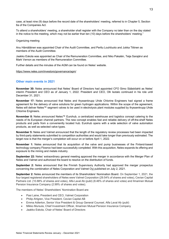case, at least nine (9) days before the record date of the shareholders' meeting, referred to in Chapter 5, Section 6a of the Companies Act.

To attend a shareholders' meeting, a shareholder shall register with the Company no later than on the day stated in the notice to the meeting, which may not be earlier than ten (10) days before the shareholders' meeting."

Organizing meeting

Anu Hämäläinen was appointed Chair of the Audit Committee, and Perttu Louhiluoto and Jukka Tiitinen as members of the Audit Committee.

Jaakko Eskola was appointed as Chair of the Remuneration Committee, and Niko Pakalén, Teija Sarajärvi and Mark Vernon as members of the Remuneration Committee.

Further details and the minutes of the AGM can be found on Neles' website.

<https://www.neles.com/investors/governance/agm/>

## **Other main events in 2021**

**November 30:** Neles announced that Neles' Board of Directors had appointed CFO Simo Sääskilahti as Neles' interim President and CEO as of January 1, 2022. President and CEO, Olli Isotalo continued in his role until December 31, 2021.

**November 17:** Neles announced that Neles and thyssenkrupp Uhde Chlorine Engineers had signed a frame agreement for the delivery of valve solutions for green hydrogen applications. Within the scope of the agreement, Neles will deliver Neles™ segment valves to be used in electrolysis plant modules supplied by thyssenkrupp Uhde Chlorine Engineers.

**November 8:** Neles announced Neles™ Eurohub, a centralized warehouse and logistics concept catering to the needs of its European channel partners. The new concept enables fast and reliable delivery of off-the-shelf Neles products and parts from a conveniently located hub. Eurohub opens with a wide selection of valve automation products, as well as selected valve types.

**November 5:** Neles and Valmet announced that the length of the regulatory review processes had been impacted by third-party statements submitted to competition authorities and would take longer than previously estimated. The target now is that the merger's completion will occur on or before April 1, 2022.

**November 1:** Neles announced that its acquisition of the valve and pump businesses of the Finland-based technology company Flowrox had been successfully completed. With this acquisition, Neles expands its offering and exposure to the mining and metals industry.

**September 22:** Neles' extraordinary general meeting approved the merger in accordance with the Merger Plan of Neles and Valmet and authorized the board to resolve on the distribution of funds.

**September 2:** Neles announced that the Finnish Supervisory Authority had approved the merger prospectus concerning the combination of Neles Corporation and Valmet Oyj published on July 2, 2021.

**September 2:** Neles announced the members of its Shareholders' Nomination Board. On September 1, 2021, the four largest registered shareholders of Neles were Valmet Corporation (29.54% of shares and votes), Cevian Capital Partners Ltd. (10.88% of shares and votes), Alfa Laval Ab (publ) (8.46% of shares and votes) and Ilmarinen Mutual Pension Insurance Company (2.99% of shares and votes).

The members of Neles' Shareholders' Nomination Board are:

- Pasi Laine, President and CEO, Valmet Corporation
- Philip Ahlgren, Vice President, Cevian Capital AB
- Emma Adlerton, Senior Vice President & Group General Counsel, Alfa Laval Ab (publ)
- Mikko Mursula, Chief Investment Officer, Ilmarinen Mutual Pension Insurance Company
- Jaakko Eskola, Chair of Neles' Board of Directors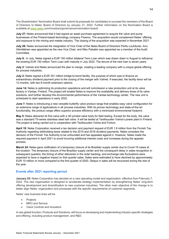The Shareholders' Nomination Board shall submit its proposals for candidates to succeed the members of the Board of Directors to Neles' Board of Directors by January 31, 2022. Further information on the Nomination Board is available at [www.neles.](http://www.neles/)com/investors/governance/nomination-board/.

**July 27:** Neles announced that it had signed an asset purchase agreement to acquire the valve and pump businesses of the Finland-based technology company Flowrox. The acquisition would complement Neles' offering and exposure to the mining and metals industry. The closing of the acquisition was expected in November 2021.

**July 26:** Neles announced the resignation of Vice Chair of the Neles Board of Directors Perttu Louhiluoto. Anu Hämäläinen was appointed as the new Vice Chair, and Niko Pakalén was appointed as a member of the Audit Committee.

**July 9:** In July, Neles signed a EUR 150 million bilateral Term Loan which was drawn down in August to refinance the existing EUR 150 million Term Loan with maturity in July 2022. The tenure of the new loan is seven years.

**July 2:** Valmet and Neles announced the plan to merge, creating a leading company with a unique global offering for process industries.

**July 2:** Neles signed a EUR 301 million bridge-to-bond facility, the purpose of which was to finance an extraordinary dividend payment prior to the closing of the merger with Valmet. If executed, the facility tenor will be 12 months, with two 6-month extension options.

**June 14:** Neles is optimizing its production operations and will commission a new production unit at its valve factory in Vantaa, Finland. The project will enable Neles to improve the availability and delivery times of its valve solutions, and further develop the environmental performance of the Vantaa technology center. The new unit is scheduled to start operations in early 2022.

**June 7:** Neles is introducing a new versatile butterfly valve product range that enables easy valve configuration for an extensive range of applications in all process industries. With its proven technology and state-of-the-art functionality, the product range offers superior process efficiency with a minimized environmental footprint.

**May 5:** Neles delivered its first valve with a 3D printed valve body for field testing. Except for the body, the valve was a standard T5-series stainless steel ball valve. It will be tested at Teollisuuden Voima's power plant in Finland. The project is being carried out in cooperation with Teollisuuden Voima and Fortum.

**April 19**: Neles Corporation received a tax decision and payment request of EUR 1.8 million from the Finnish Tax Authority regarding withholding taxes related to the 2015 and 2016 dividend payments. Neles considers the decision of the Finnish Tax Authority to be unfounded and has appealed against it. However, Neles made the required payment in April 2021 to avoid incurring additional interest costs and increases during the appeals process.

**March 24:** Neles gave notification of a temporary closure of its Brazilian supply center due to Covid-19 cases at the location. The temporary closure of the Brazilian supply center and the consequent delay in sales recognition in subsequent quarters, the timing of other deliveries in the order backlog, and exchange rate fluctuations were expected to have a negative impact on first quarter sales. Sales were estimated to have declined by approximately EUR 10 million or more compared to the first quarter of 2020. Delays in sales will be recovered during the rest of the year.

# **Events after 2021 reporting period**

**January 25:** Neles Corporation has decided on a new operating model and organization, effective from February 7, 2022. The new organization is designed to accelerate strategy implementation by strengthening Neles' long-term offering development and diversification to new customer industries. The other main objective of the change is to better align Neles' organization and processes with the specific requirements of customer segments.

Neles' new business lines will be

- Projects
- MRO and Service
- Valve Controls and Actuators

A new global function, Products and Solutions, will focus on developing and implementing industry-specific strategies and offering, including product management, and R&D.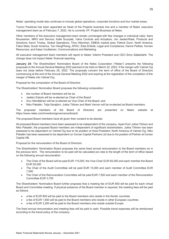Neles' operating model also continues to include global operations, corporate functions and four market areas.

Tuomo Paukkula has been appointed as Head of the Projects business line and a member of Neles' executive management team as of February 7, 2022. He is currently VP, Project Business at Neles.

Other members of the executive management team remain unchanged with few changes in individual roles: Sami Nousiainen, MRO and Service; Kalle Suurpää, Valve Controls and Actuators; Jon Jested-Rask, Products and Solutions; Kevin Tinsley, Global Operations; Timo Hänninen, EMEIA market area; Patrick Dunn, North America; Fabio Maia; South America, Tan HangPheng, APAC; Elisa Erkkilä, Legal and Compliance; Hanne Peltola, Human Resources; and Kaisa Voutilainen, Communications and Marketing.

All executive management team members will report to Neles' Interim President and CEO Simo Sääskilahti. The change does not impact Neles' financial reporting.

**January 24:** The Shareholders' Nomination Board of the Neles Corporation ("Neles") presents the following proposals to the Annual General Meeting 2022 planned to be held on March 22, 2022, if the merger with Valmet Oyj does not close before February 28, 2022. The proposals concern the term of office of the Board of Directors commencing at the end of the Annual General Meeting 2022 and expiring at the registration of the completion of the merger of Neles into Valmet Oyj.

Proposal for the composition of the Board of Directors

The Shareholders' Nomination Board proposes the following composition:

- the number of Board members will be six
- Jaakko Eskola will be re-elected as Chair of the Board
- Anu Hämäläinen will be re-elected as Vice Chair of the Board, and
- Niko Pakalén, Teija Sarajärvi, Jukka Tiitinen and Mark Vernon will be re-elected as Board members.

The proposed members of the Board of Directors are presented on Neles' website at https://www.neles.com/investors/governance/board/.

The proposed Board members have all given their consent to be elected.

All proposed Board members have been assessed to be independent of the company. Apart from Jukka Tiitinen and Niko Pakalén, the proposed Board members are independent of significant shareholders. Jukka Tiitinen has been assessed to be dependent on Valmet Oyj due to his position of Area President, North America of Valmet Oyj. Niko Pakalén has been assessed to be dependent on Cevian Capital Partners Ltd due to his position of Partner at Cevian Capital AB.

Proposal for the remuneration of the Board of Directors

The Shareholders' Nomination Board proposes the same fixed annual remuneration to the Board members as in the previous term. The remuneration to be paid will be calculated pro rata to the length of the term of office based on the following annual remuneration:

- The Chair of the Board will be paid EUR 115,000, the Vice-Chair EUR 65,000 and each member the Board EUR 50,000
- The Chair of the Audit Committee will be paid EUR 15,000 and each member of Audit Committee EUR 7,500
- The Chair of the Remuneration Committee will be paid EUR 7,500 and each member of the Remuneration Committee EUR 3,750

The Shareholders' Nomination Board further proposes that a meeting fee of EUR 800 will be paid for each virtual Board and Committee meeting. If physical presence of the Board member is required, the meeting fees will be paid as follows:

- a fee of EUR 800 will be paid to the Board members who reside in the Nordic countries
- a fee of EUR 1,600 will be paid to the Board members who reside in other European countries
- a fee of EUR 3,200 will be paid to the Board members who reside outside Europe

The fixed annual remuneration and meeting fees will be paid in cash. Possible travel expenses will be reimbursed according to the travel policy of the company.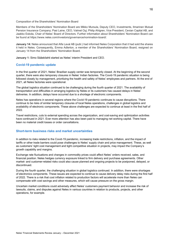Composition of the Shareholders' Nomination Board

Members of the Shareholders' Nomination Board are Mikko Mursula, Deputy CEO, Investments, Ilmarinen Mutual Pension Insurance Company; Pasi Laine, CEO, Valmet Oyj; Philip Ahlgren, Vice President, Cevian Capital AB, and Jaakko Eskola, Chair of Neles' Board of Directors. Further information about Shareholders' Nomination Board can be found at https://www.neles.com/investors/governance/nomination-board/.

**January 14:** Neles announced that Alfa Laval AB (publ.) had informed Neles Corporation that it had sold the shares it held in Neles. Consequently, Emma Adlerton, a member of the Shareholders' Nomination Board, resigned on January 14 from the Shareholders' Nomination Board.

**January 1:** Simo Sääskilahti started as Neles' interim President and CEO.

#### **Covid-19 pandemic update**

In the first quarter of 2021, Neles' Brazilian supply center was temporarily closed. At the beginning of the second quarter, there were also temporary closures in Neles' Indian factories. The Covid-19 pandemic situation is being followed closely by management, prioritizing the health and safety of Neles' employees and partners. At the end of 2021, all Neles factories were operational.

The global logistics situation continued to be challenging during the fourth quarter of 2021. The availability of transportation and difficulties in arranging logistics by Neles or its customers has caused delays in Neles' deliveries. In addition, delays have occurred due to a shortage of electronic components.

Neles has operations in several regions where the Covid-19 pandemic continues to cause disruptions. There continue to be risks of similar temporary closures of local Neles operations, challenges in global logistics and availability of electronic components. These above challenges are expected to continue at least in the first half of 2022.

Travel restrictions, cuts to external spending across the organization, and cost-saving and optimization activities have continued in 2021. Ever more attention has also been paid to managing net working capital. There have been no material credit losses or order cancellations.

#### **Short-term business risks and market uncertainties**

In addition to risks related to the Covid-19 pandemic, increasing trade restrictions, inflation, and the impact of tariffs or other trade barriers could pose challenges to Neles' supply chain and price management. These, as well as customers' tight cost management and tight competitive situation in projects, may impact the Company's growth capability and margins.

Exchange rate fluctuations and changes in commodity prices could affect Neles' orders received, sales, and financial position. Neles hedges currency exposure linked to firm delivery and purchase agreements. Other market- and customer-related risks could also cause planned and ongoing projects to be postponed, delayed, or discontinued.

During the fourth quarter, the challenging situation in global logistics continued. In addition, there were shortages of electronics components. These issues are expected to continue to cause delivery delay risks during the first half of 2022. There is a risk that cost inflation related to production factors will accelerate more than Neles can compensate with cost savings and other measures, which will cause pressure on the gross margin.

Uncertain market conditions could adversely affect Neles' customers payment behavior and increase the risk of lawsuits, claims, and disputes against Neles in various countries in relation to products, projects, and other operations, for example.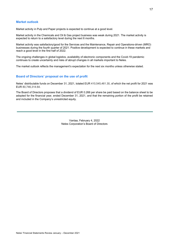# **Market outlook**

Market activity in Pulp and Paper projects is expected to continue at a good level.

Market activity in the Chemicals and Oil & Gas project business was weak during 2021. The market activity is expected to return to a satisfactory level during the next 6 months.

Market activity was satisfactory/good for the Services and the Maintenance, Repair and Operations-driven (MRO) businesses during the fourth quarter of 2021. Positive development is expected to continue in these markets and reach a good level in the first half of 2022.

The ongoing challenges in global logistics, availability of electronic components and the Covid-19 pandemic continues to create uncertainty and risks of abrupt changes in all markets important to Neles.

The market outlook reflects the management's expectation for the next six months unless otherwise stated.

#### **Board of Directors' proposal on the use of profit**

Neles' distributable funds on December 31, 2021, totaled EUR 410,545,461.30, of which the net profit for 2021 was EUR 80,746,314.64.

The Board of Directors proposes that a dividend of EUR 0.266 per share be paid based on the balance sheet to be adopted for the financial year, ended December 31, 2021, and that the remaining portion of the profit be retained and included in the Company's unrestricted equity.

> Vantaa, February 4, 2022 Neles Corporation's Board of Directors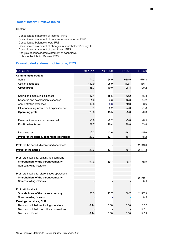# **Neles' Interim Review: tables**

#### **Content**

Consolidated statement of income, IFRS Consolidated statement of comprehensive income, IFRS Consolidated balance sheet, IFRS Consolidated statement of changes in shareholders' equity, IFRS Consolidated statement of cash flows, IFRS Analysis of consolidated statement of cash flows Notes to the Interim Review IFRS

# **Consolidated statement of income, IFRS**

| <b>EUR million</b>                              | $10 - 12/21$ | $10 - 12/20$ | $1 - 12/21$ | $1 - 12/20$ |
|-------------------------------------------------|--------------|--------------|-------------|-------------|
| <b>Continuing operations</b>                    |              |              |             |             |
| <b>Sales</b>                                    | 174.2        | 154.9        | 610.9       | 576.3       |
| Cost of goods sold                              | $-117.9$     | $-105.9$     | $-412.1$    | $-386.1$    |
| <b>Gross profit</b>                             | 56.3         | 49.0         | 198.8       | 190.2       |
| Selling and marketing expenses                  | $-17.4$      | $-18.5$      | $-62.2$     | $-65.3$     |
| Research and development expenses               | $-4.6$       | $-3.3$       | $-15.3$     | $-14.2$     |
| Administrative expenses                         | $-10.8$      | $-8.8$       | $-40.8$     | $-38.6$     |
| Other operating income and expenses, net        | 0.1          | 0.2          | $-4.6$      | $-1.8$      |
| <b>Operating profit</b>                         | 23.6         | 18.5         | 75.8        | 70.3        |
| Financial income and expenses, net              | $-1.0$       | $-2.2$       | $-5.0$      | $-6.5$      |
| <b>Profit before taxes</b>                      | 22.7         | 16.4         | 70.8        | 63.8        |
| Income taxes                                    | $-2.3$       | $-3.6$       | $-14.1$     | $-15.6$     |
| Profit for the period, continuing operations    | 20.3         | 12.7         | 56.7        | 48.2        |
| Profit for the period, discontinued operations  |              |              |             | 2,149.6     |
| Profit for the period                           | 20.3         | 12.7         | 56.7        | 2,197.8     |
| Profit attributable to, continuing operations   |              |              |             |             |
| Shareholders of the parent company              | 20.3         | 12.7         | 56.7        | 48.2        |
| Non-controlling interests                       |              |              |             |             |
| Profit attributable to, discontinued operations |              |              |             |             |
| Shareholders of the parent company              |              | ۳            |             | 2,149.1     |
| Non-controlling interests                       |              |              |             | 0.5         |
| Profit attributable to                          |              |              |             |             |
| Shareholders of the parent company              | 20.3         | 12.7         | 56.7        | 2,197.3     |
| Non-controlling interests                       |              |              |             | 0.5         |
| Earnings per share, EUR                         |              |              |             |             |
| Basic and diluted, continuing operations        | 0.14         | 0.08         | 0.38        | 0.32        |
| Basic and diluted, discontinued operations      |              |              |             | 14.31       |
| Basic and diluted                               | 0.14         | 0.08         | 0.38        | 14.63       |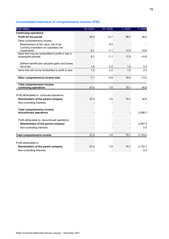# **Consolidated statement of comprehensive income, IFRS**

| <b>EUR million</b>                                                        | $10 - 12/21$ | $10 - 12/20$ | $1 - 12/21$ | $1 - 12/20$ |
|---------------------------------------------------------------------------|--------------|--------------|-------------|-------------|
| <b>Continuing operations</b>                                              |              |              |             |             |
| Profit for the period                                                     | 20.3         | 12.7         | 56.7        | 48.2        |
| Other comprehensive income                                                |              |              |             |             |
| Measurement at fair value, net of tax                                     |              | 0.0          |             |             |
| Currency translation on subsidiary net<br>investments                     | 6.1          | $-7.1$       | 17.5        | $-15.6$     |
| Items that may be reclassified to profit or loss in<br>subsequent periods | 6.1          | $-7.1$       | 17.5        | $-15.6$     |
| Defined benefit plan actuarial gains and losses,<br>net of tax            | 1.0          | 2.2          | 1.0         | 2.2         |
| Items that will not be reclassified to profit or loss                     | 1.0          | 2.2          | 1.0         | 2.2         |
| Other comprehensive income total                                          | 7.1          | $-4.9$       | 18.4        | $-13.4$     |
| Total comprehensive income,<br>continuing operations                      | 27.4         | 7.8          | 75.1        | 34.8        |
| Profit attributable to, continued operations                              |              |              |             |             |
| Shareholders of the parent company                                        | 27.4         | 7.8          | 75.1        | 34.8        |
| Non-controlling interests                                                 |              |              |             |             |
| Total comprehensive income,<br>discontinued operations                    |              |              |             | 2,098.3     |
| Profit attributable to, discontinued operations                           |              |              |             |             |
| Shareholders of the parent company                                        |              |              |             | 2,097.9     |
| Non-controlling interests                                                 |              |              |             | 0.5         |
| Total comprehensive income                                                | 27.4         | 7.8          | 75.1        | 2,133.2     |
| Profit attributable to                                                    |              |              |             |             |
| Shareholders of the parent company                                        | 27.4         | 7.8          | 75.1        | 2,132.7     |
| Non-controlling interests                                                 |              |              |             | 0.5         |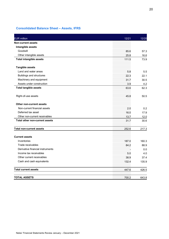# **Consolidated Balance Sheet – Assets, IFRS**

| <b>EUR million</b>                    | 12/21 | 12/20 |
|---------------------------------------|-------|-------|
| <b>Non-current assets</b>             |       |       |
| Intangible assets                     |       |       |
| Goodwill                              | 85.6  | 57.3  |
| Other intangible assets               | 25.8  | 16.6  |
| <b>Total intangible assets</b>        | 111.5 | 73.9  |
| <b>Tangible assets</b>                |       |       |
| Land and water areas                  | 5.8   | 5.5   |
| <b>Buildings and structures</b>       | 22.3  | 22.1  |
| Machinery and equipment               | 31.7  | 30.5  |
| Assets under construction             | 3.9   | 4.2   |
| <b>Total tangible assets</b>          | 63.6  | 62.3  |
| Right-of-use assets                   | 45.8  | 50.5  |
| Other non-current assets              |       |       |
| Non-current financial assets          | 2.0   | 0.2   |
| Deferred tax asset                    | 16.0  | 17.9  |
| Other non-current receivables         | 13.7  | 12.0  |
| <b>Total other non-current assets</b> | 31.7  | 30.6  |
| <b>Total non-current assets</b>       | 252.6 | 217.3 |
| <b>Current assets</b>                 |       |       |
| Inventories                           | 187.0 | 160.3 |
| Trade receivables                     | 84.2  | 88.9  |
| Derivative financial instruments      |       | 0.0   |
| Income tax receivables                | 5.0   | 4.0   |
| Other current receivables             | 38.9  | 37.4  |
| Cash and cash equivalents             | 132.4 | 135.9 |
| <b>Total current assets</b>           | 447.6 | 426.5 |
| <b>TOTAL ASSETS</b>                   | 700.2 | 643.8 |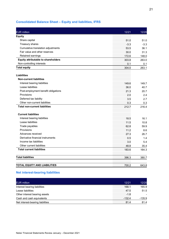# **Consolidated Balance Sheet – Equity and liabilities, IFRS**

| <b>EUR million</b>                         | 12/21  | 12/20  |
|--------------------------------------------|--------|--------|
| <b>Equity</b>                              |        |        |
| Share capital                              | 51.0   | 51.0   |
| Treasury shares                            | $-3.3$ | $-3.3$ |
| Cumulative translation adjustments         | 53.5   | 36.1   |
| Fair value and other reserves              | 30.0   | 31.3   |
| Retained earnings                          | 172.6  | 148.0  |
| <b>Equity attributable to shareholders</b> | 303.8  | 263.0  |
| Non-controlling interests                  | 0.1    | 0.1    |
| <b>Total equity</b>                        | 304.0  | 263.1  |
| <b>Liabilities</b>                         |        |        |
| <b>Non-current liabilities</b>             |        |        |
| Interest bearing liabilities               | 149.6  | 149.7  |
| Lease liabilities                          | 36.0   | 40.7   |
| Post-employment benefit obligations        | 21.3   | 20.7   |
| Provisions                                 | 2.0    | 2.4    |
| Deferred tax liability                     | 3.5    | 2.7    |
| Other non-current liabilities              | 0.3    | 0.3    |
| <b>Total non-current liabilities</b>       | 212.7  | 216.4  |
| <b>Current liabilities</b>                 |        |        |
| Interest bearing liabilities               | 18.5   | 16.1   |
| Lease liabilities                          | 11.5   | 10.8   |
| Trade payables                             | 62.8   | 59.9   |
| Provisions                                 | 11.2   | 8.6    |
| Advances received                          | 27.3   | 26.7   |
| Derivative financial instruments           | 0.5    | 1.4    |
| Income tax liabilities                     | 3.0    | 5.4    |
| Other current liabilities                  | 48.8   | 35.4   |
| <b>Total current liabilities</b>           | 183.6  | 164.3  |
| <b>Total liabilities</b>                   | 396.3  | 380.7  |
| <b>TOTAL EQUITY AND LIABILITIES</b>        | 700.2  | 643.8  |

# **Net interest-bearing liabilities**

| <b>EUR million</b>               | 12/21  |      |
|----------------------------------|--------|------|
| Interest bearing liabilities     |        |      |
| Lease liabilities                |        | 51.5 |
| Other interest bearing assets    | -1 8   |      |
| Cash and cash equivalents        | -132.4 | 85 Y |
| Net interest-bearing liabilities |        |      |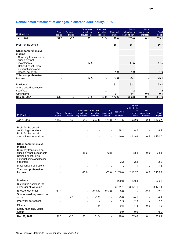# **Consolidated statement of changes in shareholders' equity, IFRS**

| <b>EUR million</b>                                                | Share<br>capital | Treasury<br>shares       | Cumulative<br>translation<br>adjustments | <b>Fair value</b><br>and other<br>reserves | Retained<br>earnings | Equity<br>attributable to<br>shareholders | Non-<br>controlling<br>interests | <b>Total</b><br>equity |
|-------------------------------------------------------------------|------------------|--------------------------|------------------------------------------|--------------------------------------------|----------------------|-------------------------------------------|----------------------------------|------------------------|
| Jan 1, 2021                                                       | 51.0             | $-3.3$                   | 36.1                                     | 31.3                                       | 148.0                | 263.0                                     | 0.1                              | 263.1                  |
| Profit for the period                                             |                  |                          |                                          |                                            | 56.7                 | 56.7                                      |                                  | 56.7                   |
| <b>Other comprehensive</b><br>income                              |                  |                          |                                          |                                            |                      |                                           |                                  |                        |
| Currency translation on<br>subsidiary net<br>investments          |                  |                          | 17.5                                     |                                            |                      | 17.5                                      |                                  | 17.5                   |
| Defined benefit plan<br>actuarial gains and<br>losses, net of tax |                  |                          |                                          |                                            | 1.0                  | 1.0                                       |                                  | 1.0                    |
| <b>Total comprehensive</b>                                        |                  |                          |                                          |                                            |                      |                                           |                                  |                        |
| income                                                            |                  |                          | 17.5                                     |                                            | 57.6                 | 75.7                                      |                                  | 75.1                   |
| <b>Dividends</b>                                                  |                  |                          |                                          |                                            | -33.1                | -33.1                                     |                                  | -33.1                  |
| Share-based payments,<br>net of tax                               |                  |                          |                                          | $-1.2$                                     |                      |                                           |                                  | -1.2                   |
| Other items                                                       |                  | $\overline{\phantom{0}}$ |                                          |                                            | 0.1                  | 0.1                                       | 0.0                              | 0.1                    |
| Dec 30, 2021                                                      | 51.0             | $-3.3$                   | 53.5                                     | 30.0                                       | 172.6                | 303.8                                     | 0.1                              | 304.0                  |

| <b>EUR million</b>                                                                                           | Share<br>capital         | Treasury<br>shares       | Cumulative<br>translation<br>adjustments | Fair value<br>and other<br>reserves | Dis-<br>continued<br>operations | Retained<br>earnings     | Equity<br>attributable<br>to<br>share-<br>holders | Non-<br>controlling<br>interests | Total<br>equity |
|--------------------------------------------------------------------------------------------------------------|--------------------------|--------------------------|------------------------------------------|-------------------------------------|---------------------------------|--------------------------|---------------------------------------------------|----------------------------------|-----------------|
| Jan 1, 2020                                                                                                  | 141.0                    | $-6.2$                   | 51.7                                     | 303.8                               | $-154.8$                        | 1,187.5                  | 1,522.9                                           | 2.8                              | 1,525.7         |
|                                                                                                              |                          |                          |                                          |                                     |                                 |                          |                                                   |                                  |                 |
| Profit for the period,<br>continuing operations                                                              |                          |                          |                                          |                                     | $\overline{\phantom{0}}$        | 48.2                     | 48.2                                              |                                  | 48.2            |
| Profit for the period,<br>discontinued operations                                                            |                          |                          |                                          |                                     | $\overline{\phantom{0}}$        | 2,149.6                  | 2,149.6                                           | 0.5                              | 2,150.0         |
| <b>Other comprehensive</b><br>income                                                                         |                          |                          |                                          |                                     |                                 |                          |                                                   |                                  |                 |
| Currency translation on<br>subsidiary net investments<br>Defined benefit plan<br>actuarial gains and losses, |                          | $\blacksquare$           | $-15.6$                                  | $\overline{\phantom{a}}$            | $-52.8$                         | $\overline{\phantom{a}}$ | $-68.4$                                           | 0.0                              | $-68.4$         |
| net of tax                                                                                                   |                          |                          |                                          |                                     |                                 | 2.2                      | 2.2                                               | $\overline{\phantom{a}}$         | 2.2             |
| Discontinued operations                                                                                      |                          |                          |                                          | 1.1                                 |                                 |                          | 1.1                                               |                                  | 1.1             |
| <b>Total comprehensive</b><br>income                                                                         |                          |                          | $-15.6$                                  | 1.1                                 | $-52.8$                         | 2,200.0                  | 2,132.7                                           | 0.5                              | 2,133.2         |
| <b>Dividends</b>                                                                                             |                          | $\overline{\phantom{a}}$ |                                          |                                     | $\overline{\phantom{0}}$        | $-220.8$                 | $-220.8$                                          |                                  | $-220.8$        |
| Distributed assets in the<br>demerger at fair value                                                          |                          | $\overline{\phantom{a}}$ |                                          |                                     | $\overline{\phantom{0}}$        | $-3,171.1$               | $-3,171.1$                                        | $\overline{\phantom{0}}$         | $-3,171.1$      |
| Effect of demerger                                                                                           | $-90.0$                  | $\blacksquare$           | $\overline{\phantom{0}}$                 | $-273.5$                            | 207.6                           | 155.8                    | $\overline{\phantom{a}}$                          | $-2.6$                           | $-2.6$          |
| Share-based payments, net<br>of tax                                                                          | $\overline{\phantom{a}}$ | 2.9                      | $\overline{a}$                           | $-1.2$                              | $\overline{\phantom{a}}$        | $-5.8$                   | $-4.1$                                            | $\overline{\phantom{a}}$         | $-4.1$          |
| Prior year corrections                                                                                       | $\overline{\phantom{a}}$ | $\overline{a}$           | $\overline{\phantom{a}}$                 | $\overline{a}$                      | $\overline{\phantom{0}}$        | 2.5                      | 2.5                                               | $\overline{a}$                   | 2.5             |
| Other items                                                                                                  |                          |                          |                                          | 1.0                                 | $\overline{a}$                  | 0.8                      | 1.8                                               | $-0.5$                           | 1.2             |
| Equity financing, Metso<br>Group                                                                             |                          |                          |                                          |                                     |                                 | $-0.9$                   | $-0.9$                                            |                                  | $-0.9$          |
| Dec 30, 2020                                                                                                 | 51.0                     | $-3.3$                   | 36.1                                     | 31.3                                | $\overline{a}$                  | 148.0                    | 263.0                                             | 0.1                              | 263.1           |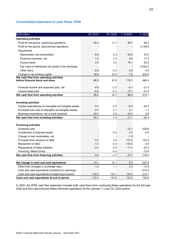# **Consolidated statement of cash flows, IFRS**

| <b>EUR</b> million                                                          | $10 - 12/21$   | $10 - 12/20$ | 1-12/2021 | $1 - 12/20$ |
|-----------------------------------------------------------------------------|----------------|--------------|-----------|-------------|
| <b>Operating activities</b>                                                 |                |              |           |             |
| Profit for the period, continuing operations                                | 20.3           | 12.7         | 56.7      | 48.2        |
| Profit for the period, discontinued operations                              |                |              |           | 2,149.6     |
| Adjustments                                                                 |                |              |           |             |
| Depreciation and amortization                                               | 6.8            | 6.3          | 25.0      | 24.5        |
| Financial expenses, net                                                     | 1.0            | 2.2          | 5.0       | 17.5        |
| Income taxes                                                                | 2.3            | 3.6          | 14.1      | 62.9        |
| Fair value of distributed net assets in the demerger                        |                |              |           | $-2,022.2$  |
| Other items                                                                 | $-0.9$         | $-0.2$       | 2.0       | 5.4         |
| Change in net working capital                                               | 16.9           | 22.9         | 7.2       | 202.6       |
| Net cash flow from operating activities<br>before financial items and taxes | 46.5           | 47.5         | 110.1     | 488.4       |
| Financial income and expenses paid, net                                     | $-0.6$         | $-2.5$       | $-4.7$    | $-21.4$     |
| Income taxes paid                                                           | $-5.8$         | $-6.3$       | $-17.1$   | $-51.4$     |
| Net cash flow from operating activities                                     | 40.2           | 38.7         | 88.3      | 415.7       |
| <b>Investing activities</b>                                                 |                |              |           |             |
| Capital expenditures on intangible and tangible assets                      | $-5.4$         | $-2.0$       | $-10.9$   | $-54.3$     |
| Proceeds from sale of intangible and tangible assets                        | 0.0            | 0.1          | 0.1       | 1.1         |
| Business acquisitions, net of cash acquired                                 | $-40.3$        | 0.0          | $-40.3$   | 0.9         |
| Net cash flow from investing activities                                     | $-45.7$        | $-1.9$       | $-51.1$   | $-52.3$     |
| <b>Financing activities</b>                                                 |                |              |           |             |
| Dividends paid                                                              |                |              | $-33.1$   | -220.8      |
| Investments in financial assets                                             | $\overline{a}$ | $-0.5$       | 0.5       | $-0.5$      |
| Change in loan receivables, net                                             | $\overline{a}$ |              | $-1.8$    |             |
| Proceeds from issuance of debt                                              | 0.0            | 0.0          | 151.8     | 142.4       |
| Repayment of debt                                                           | $-1.9$         | $-0.9$       | $-150.0$  | 0.0         |
| Repayments of lease liabilities                                             | $-2.8$         | $-2.9$       | $-11.0$   | $-23.4$     |
| Financing, Metso Group                                                      |                | $-0.4$       |           | $-13.9$     |
| Net cash flow from financing activities                                     | $-4.6$         | $-4.7$       | $-43.7$   | $-116.2$    |
| Net change in cash and cash equivalents                                     | $-10.1$        | 32.1         | $-6.5$    | 247.6       |
| Effect from changes in exchange rates                                       | 1.6            | 1.1          | 2.9       | $-12.4$     |
| Cash and cash equivalents transferred in demerger                           |                |              |           | $-312.4$    |
| Cash and cash equivalents at beginning of period                            | 140.9          | 102.7        | 135.9     | 213.1       |
| Cash and cash equivalents at end of period                                  | 132.4          | 135.9        | 132.4     | 135.9       |

In 2020, the IFRS cash flow statement includes both cash flows from continuing Neles operations for the full year 2020 and from discontinued Metso Minerals operations for the January 1–June 30, 2020 period.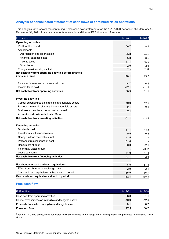# **Analysis of consolidated statement of cash flows of continued Neles operations**

This analysis table shows the continuing Neles cash flow statements for the 1–12/2020 periods in this January 1– December 31, 2021 financial statements review, in addition to IFRS financial information.

| <b>EUR million</b>                                                          | $1 - 12/21$ | $1 - 12/20$       |
|-----------------------------------------------------------------------------|-------------|-------------------|
| <b>Operating activities</b>                                                 |             |                   |
| Profit for the period                                                       | 56.7        | 48.2              |
| Adjustments                                                                 |             |                   |
| Depreciation and amortization                                               | 25.0        | 24.5              |
| Financial expenses, net                                                     | 5.0         | 6.5               |
| Income taxes                                                                | 14.1        | 15.6              |
| Other items                                                                 | 2.0         | $-12.6$           |
| Change in net working capital                                               | 7.2         | 17.1 <sup>1</sup> |
| Net cash flow from operating activities before financial<br>items and taxes | 110.1       | 99.2              |
| Financial income and expenses paid, net                                     | $-4.7$      | $-6.4$            |
| Income taxes paid                                                           | $-17.1$     | $-11.8$           |
| Net cash flow from operating activities                                     | 88.3        | 81.1              |
| <b>Investing activities</b>                                                 |             |                   |
| Capital expenditures on intangible and tangible assets                      | $-10.9$     | $-12.6$           |
| Proceeds from sale of intangible and tangible assets                        | 0.1         | 0.2               |
| Business acquisitions, net of cash acquired                                 | $-40.3$     |                   |
| Acquisitions/divestments, Metso Group                                       |             |                   |
| Net cash flow from investing activities                                     | $-51.1$     | $-12.4$           |
| <b>Financing activities</b>                                                 |             |                   |
| Dividends paid                                                              | $-33.1$     | $-44.2$           |
| Investments in financial assets                                             | 0.5         | $-0.5$            |
| Change in loan receivables, net                                             | $-1.8$      |                   |
| Proceeds from issuance of debt                                              | 151.8       |                   |
| Repayment of debt                                                           | $-150.0$    | $-2.1$            |
| Financing, Metso group                                                      |             | 70.61             |
| Lease payments                                                              | $-11.0$     | $-11.3$           |
| Net cash flow from financing activities                                     | $-43.7$     | 12.6              |
| Net change in cash and cash equivalents                                     | $-6.5$      | 81.3              |
| Effect from changes in exchange rates                                       | 2.9         | $-2.1$            |
| Cash and cash equivalents at beginning of period                            | 135.9       | 56.7              |
| Cash and cash equivalents at end of period                                  | 132.4       | 135.9             |

# **Free cash flow**

| <b>EUR million</b>                                     | $1 - 12/21$ |       |
|--------------------------------------------------------|-------------|-------|
| Cash flow from operating activities                    | 88.3        |       |
| Capital expenditures on intangible and tangible assets | $-10.9$     | -12.6 |
| Proceeds from sale of intangible and tangible assets   |             |       |
| Free cash flow                                         | 77.5        | 68.   |

1 For the 1–12/2020 period, carve out related items are excluded from *Change in net working capital* and presented in *Financing*, *Metso Group.*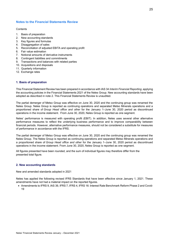# **Notes to the Financial Statements Review**

#### **Contents**

- 1. Basis of preparation
- 2. New accounting standards
- 3. Key figures and formulas
- 4. Disaggregation of sales
- 5. Reconciliation of adjusted EBITA and operating profit
- 6. Fair value estimation
- 7. Notional amounts of derivative instruments
- 8. Contingent liabilities and commitments
- 9. Transactions and balances with related parties
- 10. Acquisitions and disposals
- 11. Quarterly information
- 12. Exchange rates

# **1. Basis of preparation**

This Financial Statement Review has been prepared in accordance with IAS 34 *Interim Financial Reporting*, applying the accounting policies in the Financial Statements 2021 of the Neles Group. New accounting standards have been adopted as described in note 2. This Financial Statements Review is unaudited.

The partial demerger of Metso Group was effective on June 30, 2020 and the continuing group was renamed the Neles Group. Neles Group is reported as continuing operations and separated Metso Minerals operations and a proportioned share of *Group Head office and other* for the January 1–June 30, 2020 period as discontinued operations in the income statement. From June 30, 2020, Neles Group is reported as one segment.

Neles' performance is measured with operating profit (EBIT). In addition, Neles uses several other alternative performance measures to reflect the underlying business performance and to improve comparability between financial periods. However, alternative performance measures, should not be considered a substitute for measures of performance in accordance with the IFRS.

The partial demerger of Metso Group was effective on June 30, 2020 and the continuing group was renamed the Neles Group. The Neles Group is reported as continuing operations and separated Metso Minerals operations and a proportioned share of *Group Head office and other* for the January 1–June 30, 2020 period as discontinued operations in the income statement. From June 30, 2020, Neles Group is reported as one segment.

All figures presented have been rounded, and the sum of individual figures may therefore differ from the presented total figure.

# **2. New accounting standards**

New and amended standards adopted in 2021

Neles has applied the following revised IFRS Standards that have been effective since January 1, 2021. These amendments have not had a material impact on the reported figures.

• Amendments to IFRS 9, IAS 39, IFRS 7, IFRS 4, IFRS 16: Interest Rate Benchmark Reform Phase 2 and Covid-19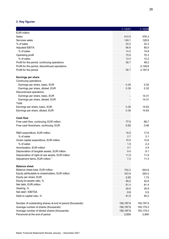# **3. Key figures**

|                                                           | $1 - 12/21$ | $1 - 12/20$ |
|-----------------------------------------------------------|-------------|-------------|
| <b>EUR million</b>                                        |             |             |
| <b>Sales</b>                                              | 610.9       | 576.3       |
| Services sales                                            | 148.1       | 128.6       |
| % of sales                                                | 24.2        | 22.3        |
| <b>Adjusted EBITA</b>                                     | 86.8        | 85.0        |
| % of sales                                                | 14.2        | 14.8        |
| Operating profit                                          | 75.8        | 70.3        |
| % of sales                                                | 12.4        | 12.2        |
| Profit for the period, continuing operations              | 56.7        | 48.2        |
| Profit for the period, discontinued operations            |             | 2,149.6     |
| Profit for the period                                     | 56.7        | 2,197.8     |
|                                                           |             |             |
| Earnings per share                                        |             |             |
| Continuing operations:                                    |             |             |
| Earnings per share, basic, EUR                            | 0.38        | 0.32        |
| Earnings per share, diluted, EUR                          | 0.38        | 0.32        |
| Discontinued operations:                                  |             |             |
| Earnings per share, basic, EUR                            |             | 14.31       |
| Earnings per share, diluted, EUR                          |             | 14.31       |
| Total:                                                    |             |             |
| Earnings per share, basic, EUR                            | 0.38        | 14.63       |
| Earnings per share, diluted, EUR                          | 0.38        | 14.63       |
|                                                           |             |             |
| <b>Cash flow</b>                                          |             |             |
| Free cash flow, continuing, EUR million                   | 77.5        | 68.7        |
| Free cash flow/share, continuing, EUR                     | 0.52        | 0.46        |
|                                                           |             |             |
| R&D expenditure, EUR million                              | 16.6        | 17.6        |
| % of sales                                                | 2.7         | 3.1         |
| Gross capital expenditure, EUR million                    | 10.9        | 12.6        |
| % of sales                                                | 1.8         | 2.2         |
| Amortization, EUR million                                 | 3.7         | 3.4         |
| Depreciation of tangible assets, EUR million              | 9.4         | 9.1         |
| Depreciation of right-of-use assets, EUR million          | 11.9        | 11.9        |
| Adjustment items, EUR million 1                           | 7.2         | 11.3        |
|                                                           |             |             |
| <b>Balance sheet</b>                                      |             |             |
| Balance sheet total, EUR million                          | 700.2       | 643.8       |
| Equity attributable to shareholders, EUR million          | 303.8       | 263.0       |
| Equity per share, EUR                                     | 2.02        | 1.72        |
| Equity-to-assets ratio, %                                 | 45.2        | 42.6        |
| Net debt, EUR million                                     | 81.4        | 81.4        |
| Gearing, %                                                | 26.8        | 30.9        |
| Net debt / EBITDA                                         | 0.8         | 0.9         |
| Debt to capital ratio, %                                  | 41.5        | 45.2        |
|                                                           |             |             |
| Number of outstanding shares at end of period (thousands) | 150,197.9   | 150,197.9   |
| Average number of shares (thousands)                      | 150,197.9   | 150,179.3   |
| Average number of diluted shares (thousands)              | 150,197.9   | 150,179.3   |
| Personnel at the end of period                            | 2,934       | 2,840       |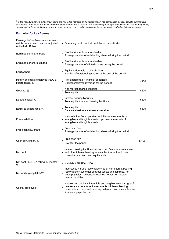*<sup>1</sup> In the reporting period, adjustment items are related to mergers and acquisitions. In the comparison period, adjusting items were attributable to advisory, brand, IT and other costs related to the creation and rebranding of independent Neles, or restructuring costs, outcome of material intellectual property rights disputes, gains and losses on business disposals, and other infrequent events.* 

#### **Formulas for key figures**

| Earnings before financial expenses,<br>net, taxes and amortization, adjusted<br>(adjusted EBITA) | = Operating profit + adjustment items + amortization                                                                                                                                                                      |  |  |  |
|--------------------------------------------------------------------------------------------------|---------------------------------------------------------------------------------------------------------------------------------------------------------------------------------------------------------------------------|--|--|--|
| Earnings per share, basic                                                                        | Profit attributable to shareholders<br>Average number of outstanding shares during the period                                                                                                                             |  |  |  |
| Earnings per share, diluted                                                                      | Profit attributable to shareholders<br>Average number of diluted shares during the period                                                                                                                                 |  |  |  |
| Equity/share                                                                                     | Equity attributable to shareholders<br>Number of outstanding shares at the end of the period                                                                                                                              |  |  |  |
| Return on capital employed (ROCE)<br>before taxes, %                                             | Profit before tax + financial expenses<br>Capital employed (average for the period)<br>x 100                                                                                                                              |  |  |  |
| Gearing, %                                                                                       | $= \frac{\text{Net interest bearing liabilities}}{\text{Total equity}}$<br>x 100                                                                                                                                          |  |  |  |
| Debt to capital, %                                                                               | Interest bearing liabilities<br>Total equity + interest bearing liabilities<br>x 100                                                                                                                                      |  |  |  |
| Equity to assets ratio, %                                                                        | = Total equity<br>Balance sheet total - advances received<br>x 100                                                                                                                                                        |  |  |  |
| Free cash flow                                                                                   | Net cash flow from operating activities - investments in<br>= intangible and tangible assets + proceeds from sale of<br>intangible and tangible assets                                                                    |  |  |  |
| Free cash flow/share                                                                             | Free cash flow<br>Average number of outstanding shares during the period                                                                                                                                                  |  |  |  |
| Cash conversion, %                                                                               | Free cash flow<br>x 100<br>Profit for the period                                                                                                                                                                          |  |  |  |
| Net debt                                                                                         | Interest bearing liabilities - non-current financial assets - loan<br>= and other interest bearing receivables (current and non-<br>current) - cash and cash equivalents                                                  |  |  |  |
| Net debt / EBITDA rolling 12 months,<br>%                                                        | $=$ Net debt / EBITDA x 100                                                                                                                                                                                               |  |  |  |
| Net working capital (NWC)                                                                        | Inventories + trade receivables + other non-interest bearing<br>receivables + customer contract assets and liabilities, net -<br>trade payables - advances received - other non-interest<br>bearing liabilities           |  |  |  |
| Capital employed                                                                                 | Net working capital + intangible and tangible assets + right-of-<br>use assets + non-current investments + interest bearing<br>receivables + cash and cash equivalents + tax receivables, net<br>+ interest payables, net |  |  |  |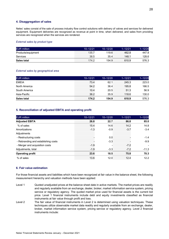#### **4. Disaggregation of sales**

Neles' sales consist of the sale of process industry flow control solutions with delivery of valves and services for delivered equipment. Equipment deliveries are recognized as revenue at point in time, when delivered, and sales from providing services are recognized when the services are rendered.

#### *External sales by product type*

| <b>EUR</b> million | $10 - 12/21$ | $-12/20$ | -12/21 |       |
|--------------------|--------------|----------|--------|-------|
| Products/equipment | 135.7        | 119.6    | 462.8  | 447.8 |
| <b>Services</b>    | 38.5         | 35.4     | 148.   | 128.6 |
| <b>Sales total</b> | 174.2        | 154.9    | 610.9  | 576.3 |

#### *External sales by geographical area*

| <b>EUR million</b> | $10 - 12/21$ | $10 - 12/20$ | $1 - 12/21$ | $1 - 12/20$ |
|--------------------|--------------|--------------|-------------|-------------|
| EMEIA              | 73.4         | 62.1         | 245.3       | 223.0       |
| North America      | 54.2         | 36.4         | 195 R       | 166.5       |
| South America      | 1በ 4         | 20.5         | 51.3        | 56.9        |
| Asia-Pacific       | 36.2         | 35.9         | 118.6       | 130.0       |
| Sales total        | 174 2        | 154.9        | 610.9       | 576.3       |

#### **5. Reconciliation of adjusted EBITA and operating profit**

| <b>EUR million</b>                  | $10 - 12/21$ | $10 - 12/20$ | $1 - 12/21$ | $1 - 12/20$ |
|-------------------------------------|--------------|--------------|-------------|-------------|
| <b>Adjusted EBITA</b>               | 26.8         | 22.7         | 86.8        | 85.0        |
| % of sales                          | 15.4         | 14.6         | 14.2        | 14.8        |
| Amortizations                       | $-1.3$       | $-0.9$       | $-3.7$      | $-3.4$      |
| Adjustments                         |              |              |             |             |
| - Restructuring costs               |              | 0.0          |             | $-1.4$      |
| - Rebranding and establishing costs |              | $-3.3$       |             | $-9.9$      |
| - Merger and acquisition costs      | $-1.9$       |              | $-7.2$      |             |
| Adjustments, total                  | $-1.9$       | $-3.3$       | $-7.2$      | $-11.3$     |
| <b>Operating profit</b>             | 23.6         | 18.5         | 75.8        | 70.3        |
| % of sales                          | 13.6         | 12.0         | 12.4        | 12.2        |

#### **6. Fair value estimation**

For those financial assets and liabilities which have been recognized at fair value in the balance sheet, the following measurement hierarchy and valuation methods have been applied:

- Level 1 Quoted unadjusted prices at the balance sheet date in active markets. The market prices are readily and regularly available from an exchange, dealer, broker, market information service system, pricing service or regulatory agency. The quoted market price used for financial assets is the current bid price. Level 1 financial instruments include debt and equity investments classified as financial instruments at fair value through profit and loss.
- Level 2 The fair value of financial instruments in Level 2 is determined using valuation techniques. These techniques utilize observable market data readily and regularly available from an exchange, dealer, broker, market information service system, pricing service or regulatory agency. Level 2 financial instruments include: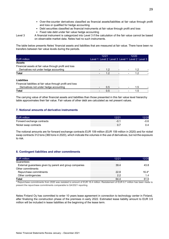- Over-the-counter derivatives classified as financial assets/liabilities at fair value through profit and loss or qualified for hedge accounting
- Debt securities classified as financial instruments at fair value through profit and loss
- Fixed rate debt under fair value hedge accounting

Level 3 A financial instrument is categorized into Level 3 if the calculation of the fair value cannot be based on observable market data. Neles had no such instruments.

The table below presents Neles' financial assets and liabilities that are measured at fair value. There have been no transfers between fair value levels during the periods.

|                                                             | 12/21 |  | 12/20 |                                                 |
|-------------------------------------------------------------|-------|--|-------|-------------------------------------------------|
| <b>EUR million</b>                                          |       |  |       | Level 1 Level 2 Level 3 Level 1 Level 2 Level 3 |
| <b>Assets</b>                                               |       |  |       |                                                 |
| Financial assets at fair value through profit and loss      |       |  |       |                                                 |
| Derivatives not under hedge accounting                      | 1.2   |  |       | 12                                              |
| <b>Total</b>                                                |       |  |       |                                                 |
| iahilities                                                  |       |  |       |                                                 |
| Financial liabilities at fair value through profit and loss |       |  |       |                                                 |
| Derivatives not under hedge accounting                      | 0 5   |  |       | -5                                              |
|                                                             |       |  |       |                                                 |

The carrying value of other financial assets and liabilities than those presented in this fair value level hierarchy table approximates their fair value. Fair values of other debt are calculated as net present values.

# **7. Notional amounts of derivative instruments**

| <b>EUR</b>                 |  |
|----------------------------|--|
| Forward exchange contracts |  |
| Nickel swap<br>⊦contracts  |  |

The notional amounts are for forward exchange contracts EUR 109 million (EUR 159 million in 2020) and for nickel swap contracts 312 tons (360 tons in 2020), which indicate the volumes in the use of derivatives, but not the exposure to risk.

# **8. Contingent liabilities and other commitments**

| <b>EUR million</b>                                      | 12/21 |  |
|---------------------------------------------------------|-------|--|
| Guarantees                                              |       |  |
| External guarantees given by parent and group companies |       |  |
| Other commitments                                       |       |  |
| Repurchase commitments                                  |       |  |
| Other contingencies                                     |       |  |
| Total                                                   |       |  |

\* Repurchase commitments from 2020 was restated to amount of EUR 16.4 million. Restatement of EUR 6.7 million has been made to present the repurchase commitments comparable to Q4/2021 reporting.

Neles Finland Oy has committed to enter 10 years lease agreement in connection to technology center in Finland, after finalizing the construction phase of the premises in early 2022. Estimated lease liability amount to EUR 3.9 million will be included in lease liabilities at the beginning of the lease term.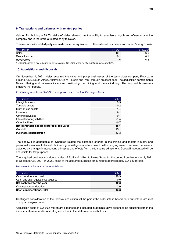#### **9. Transactions and balances with related parties**

Valmet Plc, holding a 29.5% stake of Neles shares, has the ability to exercise a significant influence over the company and is therefore a related party to Neles.

Transactions with related party are made on terms equivalent to other external customers and on arm's length basis.

| ЕНР                        |                |   |
|----------------------------|----------------|---|
| Sales                      | $\overline{A}$ |   |
| Rental income              |                |   |
| Receivables                |                | . |
| .<br>.<br>.<br>.<br>$\sim$ | .<br>          |   |

*<sup>1</sup> Valmet became a related party entity on August 12, 2020, when its shareholding exceeded 20%.* 

#### **10. Acquisitions and disposals**

On November 1, 2021, Neles acquired the valve and pump businesses of the technology company Flowrox in Finland, USA, South-Africa, Australia, China, Russia and Peru, through an asset deal. The acquisition complements Neles' offering and improves its market positioning the mining and metals industry. The acquired businesses employs 101 people.

#### *Preliminary assets and liabilities recognized as a result of the acquisitions*

| <b>EUR</b> million                             |     |
|------------------------------------------------|-----|
| Intangible assets                              | ∟5  |
| Tangible assets                                | 2   |
| Right-of-use assets                            |     |
| Inventory                                      |     |
| Other receivables                              |     |
| Interest bearing liabilities                   | 14  |
| Other liabilities                              |     |
| Net identifiable assets acquired at fair value |     |
| Goodwill                                       | 251 |
| <b>Purchase consideration</b>                  |     |

The goodwill is attributable to synergies related the extended offering in the mining and metals industry and personnel knowhow. Initial calculation on goodwill generated are based on the carrying value of acquired net assets, adjusted by changes in accounting principles and effects from the fair value adjustment. Goodwill recognized will be deductible for tax purposes.

The acquired business contributed sales of EUR 4.0 million to Neles Group for the period from November 1, 2021 to December 31, 2021. In 2020, sales of the acquired business amounted to approximately EUR 30 million.

#### *Net cash flow impact of the acquisitions*

| <b>EUR million</b>                 |      |
|------------------------------------|------|
| Cash consideration paid            | 4በ 3 |
| Cash and cash equivalents acquired |      |
| Net cash flow for the year         | 40.3 |
| Contingent consideration           |      |
| Cash considerations, total         | 13 3 |

Contingent consideration of the Flowrox acquisition will be paid if the order intake based earn out criteria are met during a one-year period.

Acquisition costs of EUR 0.6 million are expensed and included in administrative expenses as adjusting item in the income statement and in operating cash flow in the statement of cash flows.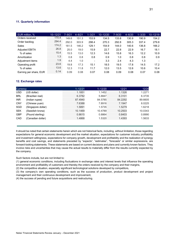# **11. Quarterly information**

| EUR million, %         | $10 - 12/21$ | $7 - 9/21$ | $4 - 6/21$ | $1 - 3/21$ | $10 - 12/20$ | $7 - 9/20$ | $4 - 6/20$ | $1 - 3/20$ | $10 - 12/19$ |
|------------------------|--------------|------------|------------|------------|--------------|------------|------------|------------|--------------|
| Orders received        | 170.4        | 149.6      | 151.3      | 153.9      | 134.5        | 133.8      | 130.9      | 190.9      | 154.2        |
| Order backlog          | 294.4        | 292.0      | 303.9      | 298.4      | 270.3        | 292.8      | 305.3      | 337.4      | 279.8        |
| Sales                  | 174.2        | 161.5      | 146.2      | 129.1      | 154.9        | 144.0      | 140.6      | 136.8      | 166.2        |
| <b>Adjusted EBITA</b>  | 26.8         | 25.0       | 19.0       | 15.9       | 22.7         | 22.8       | 22.9       | 16.7       | 18.1         |
| % of sales             | 15.4         | 15.5       | 13.0       | 12.3       | 14.6         | 15.8       | 16.3       | 12.2       | 10.9         |
| Amortization           | 1.3          | 0.8        | 0.8        | 0.8        | 0.9          | 1.0        | 0.8        | 0.8        | 0.9          |
| Adjustment items       | 1.9          | 4.4        | 1.0        | $\,$       | 3.3          | 2.4        | 4.3        | 1.3        |              |
| Operating profit       | 23.6         | 19.8       | 17.3       | 15.1       | 18.5         | 19.5       | 17.8       | 14.5       | 17.2         |
| % of sales             | 13.6         | 12.3       | 11.8       | 11.7       | 12.0         | 13.5       | 12.6       | 10.6       | 10.4         |
| Earning per share, EUR | 0.14         | 0.09       | 0.08       | 0.07       | 0.08         | 0.09       | 0.08       | 0.07       | 0.08         |

#### **12. Exchange rates**

| <b>Currency</b> |                    | $1 - 12/21$ | $1 - 12/20$ | 12/21   | 12/20                                |
|-----------------|--------------------|-------------|-------------|---------|--------------------------------------|
| USD             | (US dollar)        | ⊥1851       | 1.1452      | 1 1326  |                                      |
| <b>BRL</b>      | (Brazilian real)   | 6.3782      | 5.8847      | 6.3101  | 6.3735                               |
| <b>INR</b>      | (Indian rupee)     | 87.4940     | 84.5785     | 84.2292 | 89.6605                              |
| <b>CNY</b>      | (Chinese yuan)     | 7.6388      | 7.8916      | 7.1947  | 8.0225                               |
| SGD             | (Singapore dollar) | 589         | 1 5735      | l 52    | 6218                                 |
|                 | (Swedish krona)    |             | 10 4789     |         | ------------------------------------ |
| GBP             | (Pound sterling)   | 8615        |             |         |                                      |
| :АГ             | Canadian dollar    |             |             |         |                                      |

It should be noted that certain statements herein which are not historical facts, including, without limitation, those regarding expectations for general economic development and the market situation, expectations for customer industry profitability and investment willingness, expectations for company growth, development and profitability and the realization of synergy benefits and cost savings, and statements preceded by "expects", "estimates", "forecasts" or similar expressions, are forward-looking statements. These statements are based on current decisions and plans and currently known factors. They involve risks and uncertainties that may cause the actual results to materially differ from the results currently expected by the company.

Such factors include, but are not limited to:

(1) general economic conditions, including fluctuations in exchange rates and interest levels that influence the operating environment and profitability of customers and thereby the orders received by the company and their margins,

(2) the competitive situation, especially significant technological solutions developed by competitors,

(3) the company's own operating conditions, such as the success of production, product development and project management and their continuous development and improvement,

(4) the success of pending and future acquisitions and restructuring.